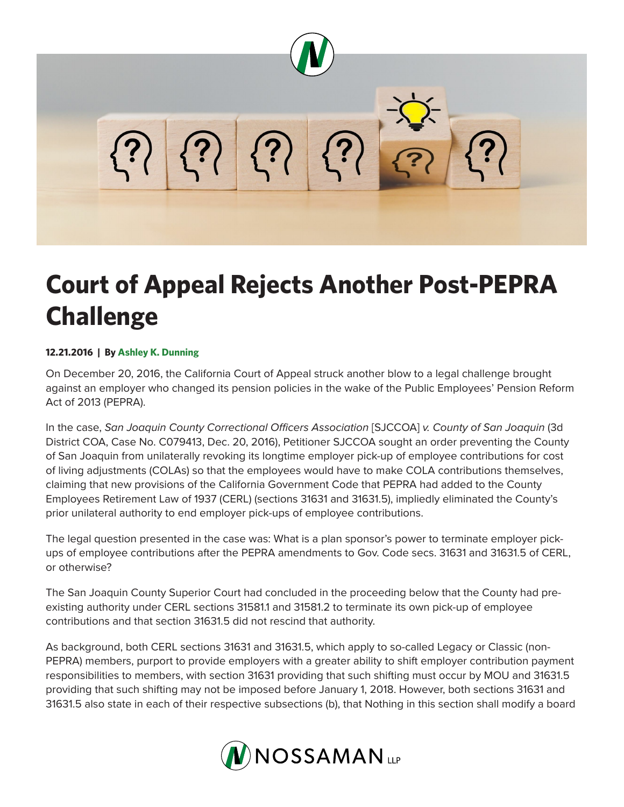

## **Court of Appeal Rejects Another Post-PEPRA Challenge**

## **12.21.2016 | By Ashley K. Dunning**

On December 20, 2016, the California Court of Appeal struck another blow to a legal challenge brought against an employer who changed its pension policies in the wake of the Public Employees' Pension Reform Act of 2013 (PEPRA).

In the case, *San Joaquin County Correctional Officers Association* [SJCCOA] *v. County of San Joaquin* (3d District COA, Case No. C079413, Dec. 20, 2016), Petitioner SJCCOA sought an order preventing the County of San Joaquin from unilaterally revoking its longtime employer pick-up of employee contributions for cost of living adjustments (COLAs) so that the employees would have to make COLA contributions themselves, claiming that new provisions of the California Government Code that PEPRA had added to the County Employees Retirement Law of 1937 (CERL) (sections 31631 and 31631.5), impliedly eliminated the County's prior unilateral authority to end employer pick-ups of employee contributions.

The legal question presented in the case was: What is a plan sponsor's power to terminate employer pickups of employee contributions after the PEPRA amendments to Gov. Code secs. 31631 and 31631.5 of CERL, or otherwise?

The San Joaquin County Superior Court had concluded in the proceeding below that the County had preexisting authority under CERL sections 31581.1 and 31581.2 to terminate its own pick-up of employee contributions and that section 31631.5 did not rescind that authority.

As background, both CERL sections 31631 and 31631.5, which apply to so-called Legacy or Classic (non-PEPRA) members, purport to provide employers with a greater ability to shift employer contribution payment responsibilities to members, with section 31631 providing that such shifting must occur by MOU and 31631.5 providing that such shifting may not be imposed before January 1, 2018. However, both sections 31631 and 31631.5 also state in each of their respective subsections (b), that Nothing in this section shall modify a board

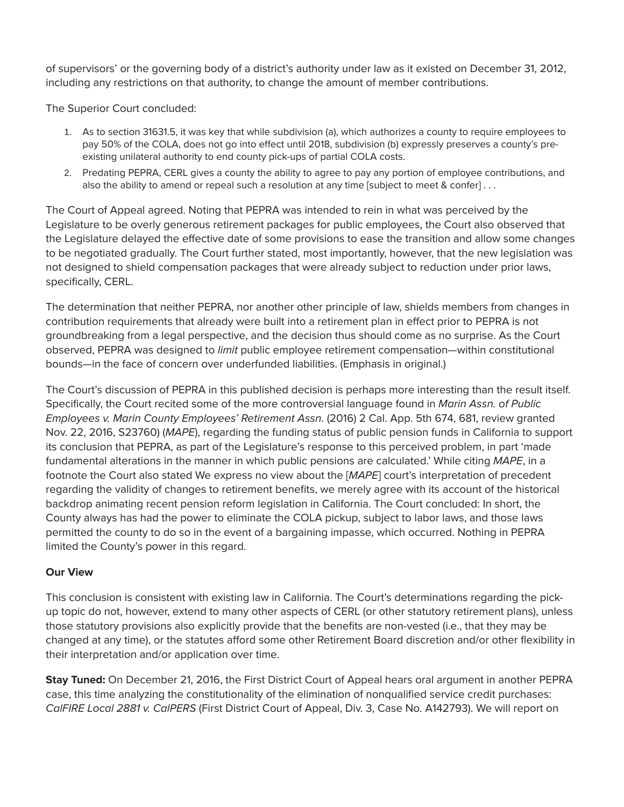of supervisors' or the governing body of a district's authority under law as it existed on December 31, 2012, including any restrictions on that authority, to change the amount of member contributions.

The Superior Court concluded:

- 1. As to section 31631.5, it was key that while subdivision (a), which authorizes a county to require employees to pay 50% of the COLA, does not go into effect until 2018, subdivision (b) expressly preserves a county's preexisting unilateral authority to end county pick-ups of partial COLA costs.
- 2. Predating PEPRA, CERL gives a county the ability to agree to pay any portion of employee contributions, and also the ability to amend or repeal such a resolution at any time [subject to meet & confer] . . .

The Court of Appeal agreed. Noting that PEPRA was intended to rein in what was perceived by the Legislature to be overly generous retirement packages for public employees, the Court also observed that the Legislature delayed the effective date of some provisions to ease the transition and allow some changes to be negotiated gradually. The Court further stated, most importantly, however, that the new legislation was not designed to shield compensation packages that were already subject to reduction under prior laws, specifically, CERL.

The determination that neither PEPRA, nor another other principle of law, shields members from changes in contribution requirements that already were built into a retirement plan in effect prior to PEPRA is not groundbreaking from a legal perspective, and the decision thus should come as no surprise. As the Court observed, PEPRA was designed to *limit* public employee retirement compensation—within constitutional bounds—in the face of concern over underfunded liabilities. (Emphasis in original.)

The Court's discussion of PEPRA in this published decision is perhaps more interesting than the result itself. Specifically, the Court recited some of the more controversial language found in *Marin Assn. of Public Employees v. Marin County Employees' Retirement Assn.* (2016) 2 Cal. App. 5th 674, 681, review granted Nov. 22, 2016, S23760) (*MAPE*), regarding the funding status of public pension funds in California to support its conclusion that PEPRA, as part of the Legislature's response to this perceived problem, in part 'made fundamental alterations in the manner in which public pensions are calculated.' While citing *MAPE*, in a footnote the Court also stated We express no view about the [*MAPE*] court's interpretation of precedent regarding the validity of changes to retirement benefits, we merely agree with its account of the historical backdrop animating recent pension reform legislation in California. The Court concluded: In short, the County always has had the power to eliminate the COLA pickup, subject to labor laws, and those laws permitted the county to do so in the event of a bargaining impasse, which occurred. Nothing in PEPRA limited the County's power in this regard.

## **Our View**

This conclusion is consistent with existing law in California. The Court's determinations regarding the pickup topic do not, however, extend to many other aspects of CERL (or other statutory retirement plans), unless those statutory provisions also explicitly provide that the benefits are non-vested (i.e., that they may be changed at any time), or the statutes afford some other Retirement Board discretion and/or other flexibility in their interpretation and/or application over time.

**Stay Tuned:** On December 21, 2016, the First District Court of Appeal hears oral argument in another PEPRA case, this time analyzing the constitutionality of the elimination of nonqualified service credit purchases: *CalFIRE Local 2881 v. CalPERS* (First District Court of Appeal, Div. 3, Case No. A142793). We will report on